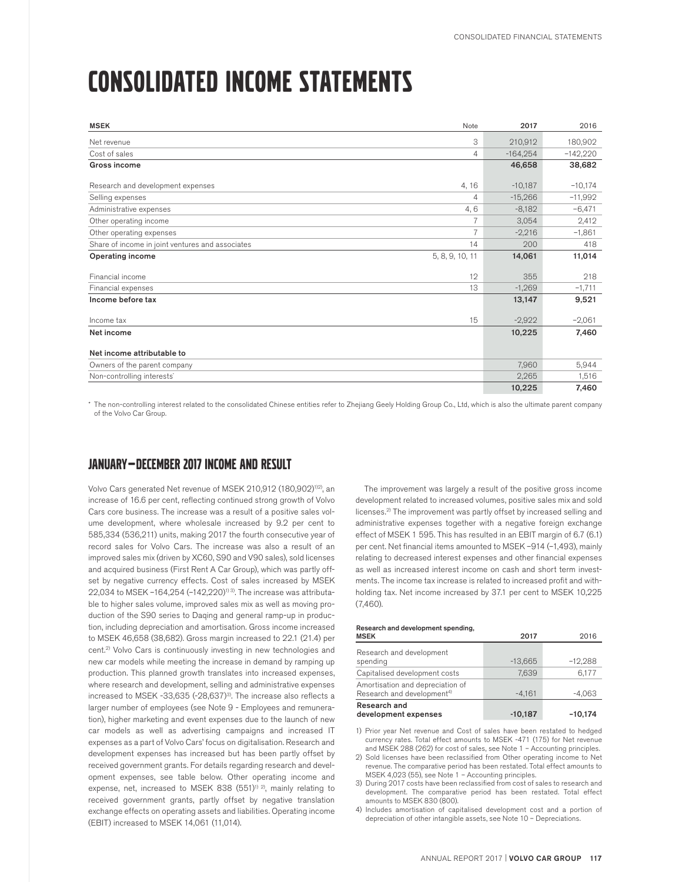# CONSOLIDATED INCOME STATEMENTS

| <b>MSEK</b>                                      | Note            | 2017       | 2016       |
|--------------------------------------------------|-----------------|------------|------------|
| Net revenue                                      | 3               | 210,912    | 180,902    |
| Cost of sales                                    | $\overline{4}$  | $-164.254$ | $-142,220$ |
| Gross income                                     |                 | 46,658     | 38,682     |
| Research and development expenses                | 4, 16           | $-10,187$  | $-10,174$  |
| Selling expenses                                 | $\overline{4}$  | $-15,266$  | $-11,992$  |
| Administrative expenses                          | 4,6             | $-8,182$   | $-6,471$   |
| Other operating income                           | $\overline{7}$  | 3,054      | 2,412      |
| Other operating expenses                         | $\overline{7}$  | $-2,216$   | $-1,861$   |
| Share of income in joint ventures and associates | 14              | 200        | 418        |
| <b>Operating income</b>                          | 5, 8, 9, 10, 11 | 14,061     | 11,014     |
| Financial income                                 | 12              | 355        | 218        |
| Financial expenses                               | 13              | $-1,269$   | $-1,711$   |
| Income before tax                                |                 | 13,147     | 9,521      |
| Income tax                                       | 15              | $-2,922$   | $-2,061$   |
| Net income                                       |                 | 10,225     | 7,460      |
| Net income attributable to                       |                 |            |            |
| Owners of the parent company                     |                 | 7,960      | 5,944      |
| Non-controlling interests <sup>*</sup>           |                 | 2,265      | 1,516      |
|                                                  |                 | 10,225     | 7,460      |

\* The non-controlling interest related to the consolidated Chinese entities refer to Zhejiang Geely Holding Group Co., Ltd, which is also the ultimate parent company of the Volvo Car Group.

### JANUARY — DECEMBER 2017 INCOME AND RESULT

Volvo Cars generated Net revenue of MSEK 210,912 (180,902)<sup>1)2)</sup>, an increase of 16.6 per cent, reflecting continued strong growth of Volvo Cars core business. The increase was a result of a positive sales volume development, where wholesale increased by 9.2 per cent to 585,334 (536,211) units, making 2017 the fourth consecutive year of record sales for Volvo Cars. The increase was also a result of an improved sales mix (driven by XC60, S90 and V90 sales), sold licenses and acquired business (First Rent A Car Group), which was partly offset by negative currency effects. Cost of sales increased by MSEK 22,034 to MSEK -164,254 (-142,220)<sup>1) 3)</sup>. The increase was attributable to higher sales volume, improved sales mix as well as moving production of the S90 series to Daqing and general ramp-up in production, including depreciation and amortisation. Gross income increased to MSEK 46,658 (38,682). Gross margin increased to 22.1 (21.4) per cent.2) Volvo Cars is continuously investing in new technologies and new car models while meeting the increase in demand by ramping up production. This planned growth translates into increased expenses, where research and development, selling and administrative expenses increased to MSEK -33,635 (-28,637)<sup>3)</sup>. The increase also reflects a larger number of employees (see Note 9 - Employees and remuneration), higher marketing and event expenses due to the launch of new car models as well as advertising campaigns and increased IT expenses as a part of Volvo Cars' focus on digitalisation. Research and development expenses has increased but has been partly offset by received government grants. For details regarding research and development expenses, see table below. Other operating income and expense, net, increased to MSEK 838  $(551)^{1/2}$ , mainly relating to received government grants, partly offset by negative translation exchange effects on operating assets and liabilities. Operating income (EBIT) increased to MSEK 14,061 (11,014).

The improvement was largely a result of the positive gross income development related to increased volumes, positive sales mix and sold licenses.2) The improvement was partly offset by increased selling and administrative expenses together with a negative foreign exchange effect of MSEK 1 595. This has resulted in an EBIT margin of 6.7 (6.1) per cent. Net financial items amounted to MSEK –914 (–1,493), mainly relating to decreased interest expenses and other financial expenses as well as increased interest income on cash and short term investments. The income tax increase is related to increased profit and withholding tax. Net income increased by 37.1 per cent to MSEK 10,225 (7,460).

#### Research and development spending,

| <b>MSEK</b>                                                                | 2017      | 2016      |
|----------------------------------------------------------------------------|-----------|-----------|
| Research and development<br>spending                                       | $-13,665$ | $-12,288$ |
| Capitalised development costs                                              | 7,639     | 6,177     |
| Amortisation and depreciation of<br>Research and development <sup>4)</sup> | $-4.161$  | $-4,063$  |
| Research and<br>development expenses                                       | $-10,187$ | $-10,174$ |

1) Prior year Net revenue and Cost of sales have been restated to hedged currency rates. Total effect amounts to MSEK -471 (175) for Net revenue and MSEK 288 (262) for cost of sales, see Note 1 – Accounting principles.

2) Sold licenses have been reclassified from Other operating income to Net revenue. The comparative period has been restated. Total effect amounts to MSEK 4,023 (55), see Note 1 – Accounting principles.

3) During 2017 costs have been reclassified from cost of sales to research and development. The comparative period has been restated. Total effect amounts to MSEK 830 (800).

4) Includes amortisation of capitalised development cost and a portion of depreciation of other intangible assets, see Note 10 – Depreciations.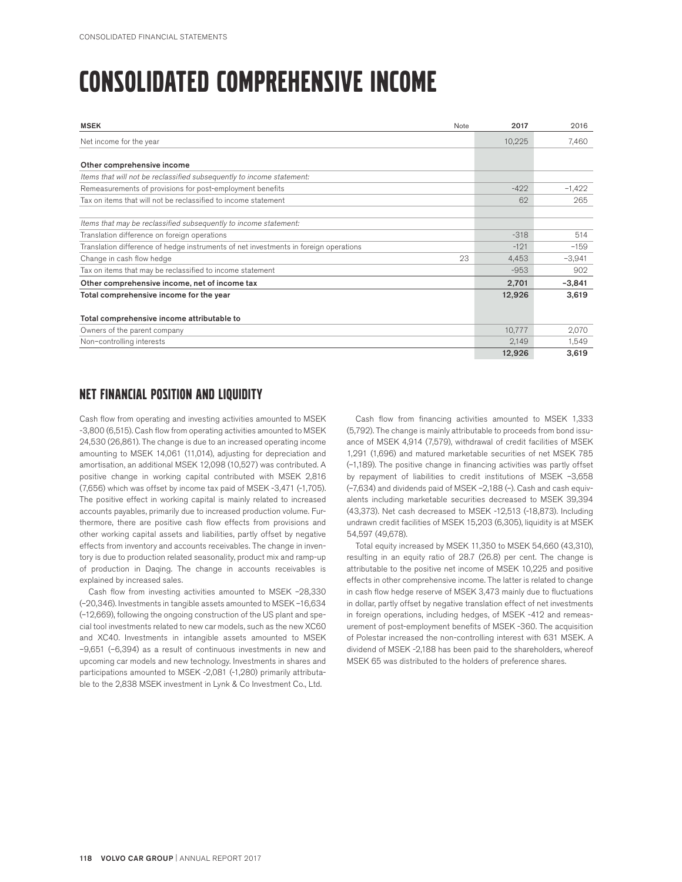## CONSOLIDATED COMPREHENSIVE INCOME

| <b>MSEK</b><br>Note                                                                  | 2017   | 2016     |
|--------------------------------------------------------------------------------------|--------|----------|
| Net income for the year                                                              | 10,225 | 7,460    |
|                                                                                      |        |          |
| Other comprehensive income                                                           |        |          |
| Items that will not be reclassified subsequently to income statement:                |        |          |
| Remeasurements of provisions for post-employment benefits                            | $-422$ | $-1,422$ |
| Tax on items that will not be reclassified to income statement                       | 62     | 265      |
|                                                                                      |        |          |
| Items that may be reclassified subsequently to income statement:                     |        |          |
| Translation difference on foreign operations                                         | $-318$ | 514      |
| Translation difference of hedge instruments of net investments in foreign operations | $-121$ | $-159$   |
| 23<br>Change in cash flow hedge                                                      | 4,453  | $-3,941$ |
| Tax on items that may be reclassified to income statement                            | $-953$ | 902      |
| Other comprehensive income, net of income tax                                        | 2,701  | $-3,841$ |
| Total comprehensive income for the year                                              | 12,926 | 3,619    |
|                                                                                      |        |          |
| Total comprehensive income attributable to                                           |        |          |
| Owners of the parent company                                                         | 10,777 | 2,070    |
| Non-controlling interests                                                            | 2,149  | 1,549    |
|                                                                                      | 12,926 | 3,619    |

#### NET FINANCIAL POSITION AND LIQUIDITY

Cash flow from operating and investing activities amounted to MSEK -3,800 (6,515). Cash flow from operating activities amounted to MSEK 24,530 (26,861). The change is due to an increased operating income amounting to MSEK 14,061 (11,014), adjusting for depreciation and amortisation, an additional MSEK 12,098 (10,527) was contributed. A positive change in working capital contributed with MSEK 2,816 (7,656) which was offset by income tax paid of MSEK -3,471 (-1,705). The positive effect in working capital is mainly related to increased accounts payables, primarily due to increased production volume. Furthermore, there are positive cash flow effects from provisions and other working capital assets and liabilities, partly offset by negative effects from inventory and accounts receivables. The change in inventory is due to production related seasonality, product mix and ramp-up of production in Daqing. The change in accounts receivables is explained by increased sales.

Cash flow from investing activities amounted to MSEK –28,330 (–20,346). Investments in tangible assets amounted to MSEK –16,634 (–12,669), following the ongoing construction of the US plant and special tool investments related to new car models, such as the new XC60 and XC40. Investments in intangible assets amounted to MSEK –9,651 (–6,394) as a result of continuous investments in new and upcoming car models and new technology. Investments in shares and participations amounted to MSEK -2,081 (-1,280) primarily attributable to the 2,838 MSEK investment in Lynk & Co Investment Co., Ltd.

Cash flow from financing activities amounted to MSEK 1,333 (5,792). The change is mainly attributable to proceeds from bond issuance of MSEK 4,914 (7,579), withdrawal of credit facilities of MSEK 1,291 (1,696) and matured marketable securities of net MSEK 785 (–1,189). The positive change in financing activities was partly offset by repayment of liabilities to credit institutions of MSEK –3,658 (–7,634) and dividends paid of MSEK –2,188 (–). Cash and cash equivalents including marketable securities decreased to MSEK 39,394 (43,373). Net cash decreased to MSEK -12,513 (-18,873). Including undrawn credit facilities of MSEK 15,203 (6,305), liquidity is at MSEK 54,597 (49,678).

Total equity increased by MSEK 11,350 to MSEK 54,660 (43,310), resulting in an equity ratio of 28.7 (26.8) per cent. The change is attributable to the positive net income of MSEK 10,225 and positive effects in other comprehensive income. The latter is related to change in cash flow hedge reserve of MSEK 3,473 mainly due to fluctuations in dollar, partly offset by negative translation effect of net investments in foreign operations, including hedges, of MSEK -412 and remeasurement of post-employment benefits of MSEK -360. The acquisition of Polestar increased the non-controlling interest with 631 MSEK. A dividend of MSEK -2,188 has been paid to the shareholders, whereof MSEK 65 was distributed to the holders of preference shares.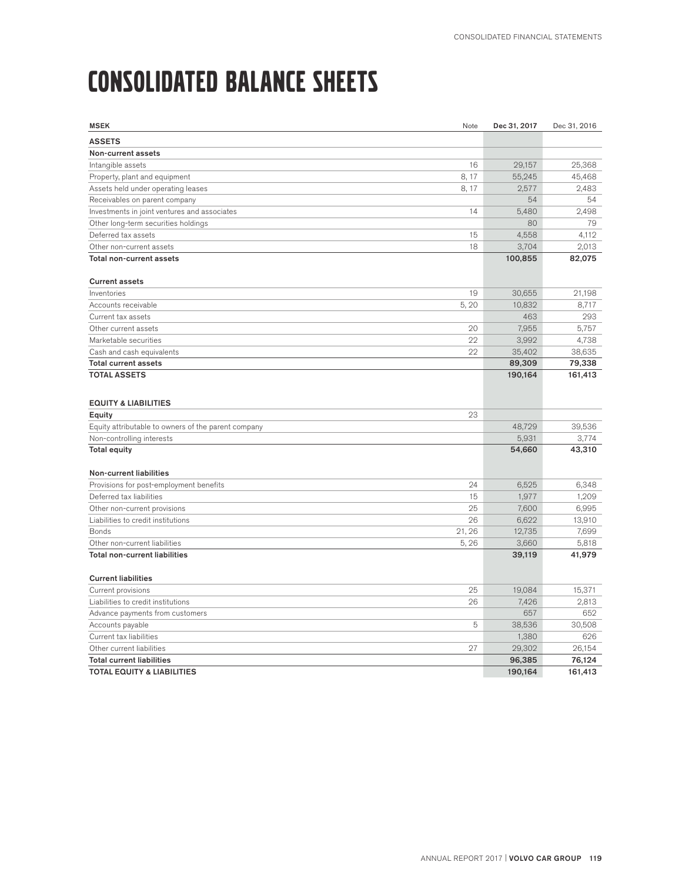# CONSOLIDATED BALANCE SHEETS

| <b>MSEK</b>                                         | Note   | Dec 31, 2017 | Dec 31, 2016 |
|-----------------------------------------------------|--------|--------------|--------------|
| <b>ASSETS</b>                                       |        |              |              |
| Non-current assets                                  |        |              |              |
| Intangible assets                                   | 16     | 29,157       | 25,368       |
| Property, plant and equipment                       | 8, 17  | 55,245       | 45,468       |
| Assets held under operating leases                  | 8, 17  | 2,577        | 2,483        |
| Receivables on parent company                       |        | 54           | 54           |
| Investments in joint ventures and associates        | 14     | 5,480        | 2,498        |
| Other long-term securities holdings                 |        | 80           | 79           |
| Deferred tax assets                                 | 15     | 4,558        | 4,112        |
| Other non-current assets                            | 18     | 3,704        | 2,013        |
| Total non-current assets                            |        | 100,855      | 82,075       |
| <b>Current assets</b>                               |        |              |              |
| Inventories                                         | 19     | 30,655       | 21,198       |
| Accounts receivable                                 | 5,20   | 10,832       | 8,717        |
| Current tax assets                                  |        | 463          | 293          |
| Other current assets                                | 20     | 7,955        | 5,757        |
| Marketable securities                               | 22     | 3,992        | 4,738        |
| Cash and cash equivalents                           | 22     | 35,402       | 38,635       |
| <b>Total current assets</b>                         |        | 89,309       | 79,338       |
| <b>TOTAL ASSETS</b>                                 |        | 190,164      | 161,413      |
|                                                     |        |              |              |
| <b>EQUITY &amp; LIABILITIES</b>                     |        |              |              |
| Equity                                              | 23     |              |              |
| Equity attributable to owners of the parent company |        | 48.729       | 39.536       |
| Non-controlling interests                           |        | 5,931        | 3,774        |
| <b>Total equity</b>                                 |        | 54,660       | 43,310       |
|                                                     |        |              |              |
| <b>Non-current liabilities</b>                      |        |              |              |
| Provisions for post-employment benefits             | 24     | 6,525        | 6,348        |
| Deferred tax liabilities                            | 15     | 1,977        | 1,209        |
| Other non-current provisions                        | 25     | 7,600        | 6,995        |
| Liabilities to credit institutions                  | 26     | 6,622        | 13,910       |
| <b>Bonds</b>                                        | 21, 26 | 12,735       | 7,699        |
| Other non-current liabilities                       | 5,26   | 3,660        | 5,818        |
| <b>Total non-current liabilities</b>                |        | 39,119       | 41,979       |
|                                                     |        |              |              |
| <b>Current liabilities</b>                          |        |              |              |
| Current provisions                                  | 25     | 19.084       | 15,371       |
| Liabilities to credit institutions                  | 26     | 7,426        | 2,813        |
| Advance payments from customers                     |        | 657          | 652          |
| Accounts payable                                    | 5      | 38,536       | 30,508       |
| Current tax liabilities                             |        | 1,380        | 626          |
| Other current liabilities                           | 27     | 29,302       | 26,154       |
| <b>Total current liabilities</b>                    |        | 96,385       | 76,124       |
| <b>TOTAL EQUITY &amp; LIABILITIES</b>               |        | 190,164      | 161,413      |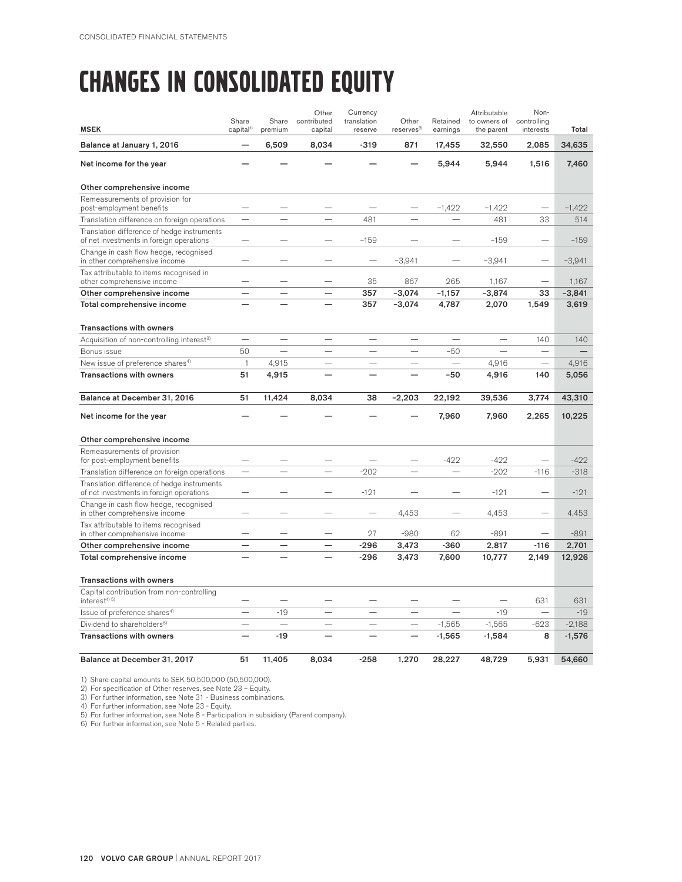### CHANGES IN CONSOLIDATED EQUITY

| <b>MSEK</b>                                                                             | Share<br>capital <sup>1)</sup> | Share<br>premium         | Other<br>contributed<br>capital | Currency<br>translation<br>reserve | Other<br>reserves <sup>2</sup> | Retained<br>earnings     | Attributable<br>to owners of<br>the parent | Non-<br>controlling<br>interests | Total    |
|-----------------------------------------------------------------------------------------|--------------------------------|--------------------------|---------------------------------|------------------------------------|--------------------------------|--------------------------|--------------------------------------------|----------------------------------|----------|
| Balance at January 1, 2016                                                              |                                | 6,509                    | 8,034                           | $-319$                             | 871                            | 17,455                   | 32,550                                     | 2,085                            | 34,635   |
| Net income for the year                                                                 |                                |                          |                                 |                                    |                                | 5,944                    | 5,944                                      | 1,516                            | 7,460    |
| Other comprehensive income                                                              |                                |                          |                                 |                                    |                                |                          |                                            |                                  |          |
| Remeasurements of provision for                                                         |                                |                          |                                 |                                    |                                |                          |                                            |                                  |          |
| post-employment benefits                                                                |                                |                          |                                 |                                    |                                | $-1,422$                 | $-1,422$                                   |                                  | $-1,422$ |
| Translation difference on foreign operations                                            |                                |                          |                                 | 481                                |                                |                          | 481                                        | 33                               | 514      |
| Translation difference of hedge instruments<br>of net investments in foreign operations |                                |                          |                                 | $-159$                             |                                |                          | $-159$                                     | $\overline{\phantom{a}}$         | $-159$   |
| Change in cash flow hedge, recognised<br>in other comprehensive income                  |                                |                          |                                 |                                    | $-3,941$                       |                          | $-3,941$                                   |                                  | $-3,941$ |
| Tax attributable to items recognised in<br>other comprehensive income                   |                                |                          |                                 | 35                                 | 867                            | 265                      | 1,167                                      | $\overline{\phantom{0}}$         | 1,167    |
| Other comprehensive income                                                              |                                |                          |                                 | 357                                | $-3.074$                       | $-1.157$                 | $-3.874$                                   | 33                               | $-3,841$ |
| Total comprehensive income                                                              |                                |                          |                                 | 357                                | $-3,074$                       | 4,787                    | 2,070                                      | 1,549                            | 3,619    |
| <b>Transactions with owners</b>                                                         |                                |                          |                                 |                                    |                                |                          |                                            |                                  |          |
| Acquisition of non-controlling interest <sup>3)</sup>                                   |                                |                          |                                 |                                    |                                |                          |                                            | 140                              | 140      |
| Bonus issue                                                                             | 50                             | $\overline{\phantom{0}}$ |                                 |                                    |                                | $-50$                    |                                            |                                  |          |
| New issue of preference shares <sup>4)</sup>                                            | $\mathbf{1}$                   | 4,915                    |                                 |                                    |                                | $\overline{\phantom{0}}$ | 4,916                                      |                                  | 4,916    |
| <b>Transactions with owners</b>                                                         | 51                             | 4,915                    |                                 |                                    |                                | $-50$                    | 4,916                                      | 140                              | 5,056    |
| Balance at December 31, 2016                                                            | 51                             | 11,424                   | 8,034                           | 38                                 | $-2,203$                       | 22,192                   | 39,536                                     | 3,774                            | 43,310   |
| Net income for the year                                                                 |                                |                          |                                 |                                    |                                | 7,960                    | 7,960                                      | 2,265                            | 10,225   |
| Other comprehensive income                                                              |                                |                          |                                 |                                    |                                |                          |                                            |                                  |          |
| Remeasurements of provision<br>for post-employment benefits                             |                                |                          |                                 |                                    |                                | $-422$                   | $-422$                                     | $\overline{\phantom{a}}$         | $-422$   |
| Translation difference on foreign operations                                            | $\overline{\phantom{0}}$       |                          |                                 | $-202$                             |                                |                          | $-202$                                     | $-116$                           | $-318$   |
| Translation difference of hedge instruments<br>of net investments in foreign operations |                                |                          |                                 | $-121$                             |                                |                          | $-121$                                     |                                  | $-121$   |
| Change in cash flow hedge, recognised<br>in other comprehensive income                  |                                |                          |                                 |                                    | 4,453                          |                          | 4.453                                      |                                  | 4,453    |
| Tax attributable to items recognised                                                    |                                |                          |                                 |                                    |                                |                          |                                            |                                  |          |
| in other comprehensive income                                                           |                                |                          |                                 | 27                                 | $-980$                         | 62                       | $-891$                                     |                                  | $-891$   |
| Other comprehensive income                                                              | $\overline{\phantom{0}}$       | -                        | -                               | $-296$                             | 3,473                          | $-360$                   | 2,817                                      | $-116$                           | 2,701    |
| Total comprehensive income                                                              |                                |                          |                                 | $-296$                             | 3,473                          | 7,600                    | 10,777                                     | 2,149                            | 12,926   |
| <b>Transactions with owners</b>                                                         |                                |                          |                                 |                                    |                                |                          |                                            |                                  |          |
| Capital contribution from non-controlling<br>interest <sup>4)</sup> <sup>5)</sup>       |                                |                          |                                 |                                    |                                |                          |                                            | 631                              | 631      |
| Issue of preference shares <sup>4)</sup>                                                |                                | $-19$                    | $\overline{\phantom{0}}$        | $\overline{\phantom{0}}$           | $\overline{\phantom{0}}$       |                          | $-19$                                      |                                  | $-19$    |
| Dividend to shareholders <sup>6)</sup>                                                  |                                |                          |                                 |                                    |                                | $-1,565$                 | $-1,565$                                   | $-623$                           | $-2,188$ |
| <b>Transactions with owners</b>                                                         | $\overline{\phantom{0}}$       | $-19$                    |                                 |                                    |                                | $-1,565$                 | $-1,584$                                   | 8                                | $-1,576$ |
|                                                                                         |                                |                          |                                 |                                    |                                |                          |                                            |                                  |          |

1) Share capital amounts to SEK 50,500,000 (50,500,000). 2) For specification of Other reserves, see Note 23 – Equity.

3) For further information, see Note 31 - Business combinations.<br>4) For further information, see Note 23 - Equity.<br>5) For further information, see Note 8 - Participation in subsidiary (Parent company).<br>6) For further infor